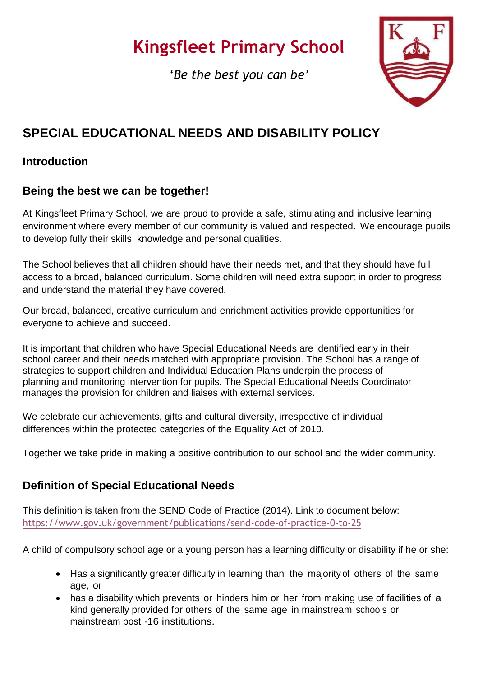# **Kingsfleet Primary School**

*'Be the best you can be'*



## **SPECIAL EDUCATIONAL NEEDS AND DISABILITY POLICY**

## **Introduction**

## **Being the best we can be together!**

At Kingsfleet Primary School, we are proud to provide a safe, stimulating and inclusive learning environment where every member of our community is valued and respected. We encourage pupils to develop fully their skills, knowledge and personal qualities.

The School believes that all children should have their needs met, and that they should have full access to a broad, balanced curriculum. Some children will need extra support in order to progress and understand the material they have covered.

Our broad, balanced, creative curriculum and enrichment activities provide opportunities for everyone to achieve and succeed.

It is important that children who have Special Educational Needs are identified early in their school career and their needs matched with appropriate provision. The School has a range of strategies to support children and Individual Education Plans underpin the process of planning and monitoring intervention for pupils. The Special Educational Needs Coordinator manages the provision for children and liaises with external services.

We celebrate our achievements, gifts and cultural diversity, irrespective of individual differences within the protected categories of the Equality Act of 2010.

Together we take pride in making a positive contribution to our school and the wider community.

## **Definition of Special Educational Needs**

This definition is taken from the SEND Code of Practice (2014). Link to document below: <https://www.gov.uk/government/publications/send-code-of-practice-0-to-25>

A child of compulsory school age or a young person has a learning difficulty or disability if he or she:

- Has a significantly greater difficulty in learning than the majority of others of the same age, or
- has a disability which prevents or hinders him or her from making use of facilities of a kind generally provided for others of the same age in mainstream schools or mainstream post -16 institutions.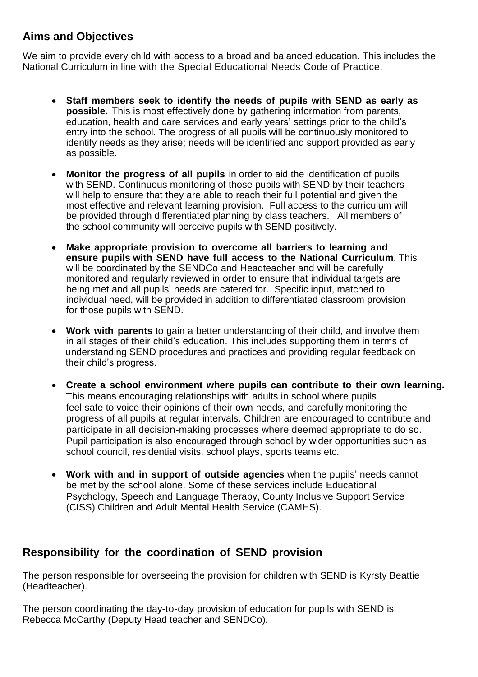## **Aims and Objectives**

We aim to provide every child with access to a broad and balanced education. This includes the National Curriculum in line with the Special Educational Needs Code of Practice.

- **Staff members seek to identify the needs of pupils with SEND as early as possible.** This is most effectively done by gathering information from parents, education, health and care services and early years' settings prior to the child's entry into the school. The progress of all pupils will be continuously monitored to identify needs as they arise; needs will be identified and support provided as early as possible.
- **Monitor the progress of all pupils** in order to aid the identification of pupils with SEND. Continuous monitoring of those pupils with SEND by their teachers will help to ensure that they are able to reach their full potential and given the most effective and relevant learning provision. Full access to the curriculum will be provided through differentiated planning by class teachers. All members of the school community will perceive pupils with SEND positively.
- **Make appropriate provision to overcome all barriers to learning and ensure pupils with SEND have full access to the National Curriculum**. This will be coordinated by the SENDCo and Headteacher and will be carefully monitored and regularly reviewed in order to ensure that individual targets are being met and all pupils' needs are catered for. Specific input, matched to individual need, will be provided in addition to differentiated classroom provision for those pupils with SEND.
- **Work with parents** to gain a better understanding of their child, and involve them in all stages of their child's education. This includes supporting them in terms of understanding SEND procedures and practices and providing regular feedback on their child's progress.
- **Create a school environment where pupils can contribute to their own learning.** This means encouraging relationships with adults in school where pupils feel safe to voice their opinions of their own needs, and carefully monitoring the progress of all pupils at regular intervals. Children are encouraged to contribute and participate in all decision-making processes where deemed appropriate to do so. Pupil participation is also encouraged through school by wider opportunities such as school council, residential visits, school plays, sports teams etc.
- **Work with and in support of outside agencies** when the pupils' needs cannot be met by the school alone. Some of these services include Educational Psychology, Speech and Language Therapy, County Inclusive Support Service (CISS) Children and Adult Mental Health Service (CAMHS).

## **Responsibility for the coordination of SEND provision**

The person responsible for overseeing the provision for children with SEND is Kyrsty Beattie (Headteacher).

The person coordinating the day-to-day provision of education for pupils with SEND is Rebecca McCarthy (Deputy Head teacher and SENDCo).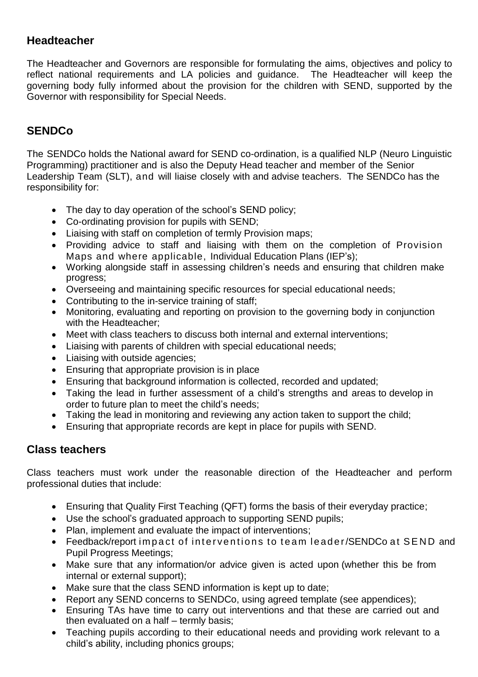## **Headteacher**

The Headteacher and Governors are responsible for formulating the aims, objectives and policy to reflect national requirements and LA policies and guidance. The Headteacher will keep the governing body fully informed about the provision for the children with SEND, supported by the Governor with responsibility for Special Needs.

## **SENDCo**

The SENDCo holds the National award for SEND co-ordination, is a qualified NLP (Neuro Linguistic Programming) practitioner and is also the Deputy Head teacher and member of the Senior Leadership Team (SLT), and will liaise closely with and advise teachers. The SENDCo has the responsibility for:

- The day to day operation of the school's SEND policy;
- Co-ordinating provision for pupils with SEND;
- Liaising with staff on completion of termly Provision maps;
- Providing advice to staff and liaising with them on the completion of Provision Maps and where applicable, Individual Education Plans (IEP's);
- Working alongside staff in assessing children's needs and ensuring that children make progress;
- Overseeing and maintaining specific resources for special educational needs;
- Contributing to the in-service training of staff;
- Monitoring, evaluating and reporting on provision to the governing body in conjunction with the Headteacher:
- Meet with class teachers to discuss both internal and external interventions;
- Liaising with parents of children with special educational needs;
- Liaising with outside agencies;
- Ensuring that appropriate provision is in place
- Ensuring that background information is collected, recorded and updated;
- Taking the lead in further assessment of a child's strengths and areas to develop in order to future plan to meet the child's needs;
- Taking the lead in monitoring and reviewing any action taken to support the child;
- Ensuring that appropriate records are kept in place for pupils with SEND.

## **Class teachers**

Class teachers must work under the reasonable direction of the Headteacher and perform professional duties that include:

- Ensuring that Quality First Teaching (QFT) forms the basis of their everyday practice;
- Use the school's graduated approach to supporting SEND pupils;
- Plan, implement and evaluate the impact of interventions;
- Feedback/report impact of interventions to team leader/SENDCo at SEND and Pupil Progress Meetings;
- Make sure that any information/or advice given is acted upon (whether this be from internal or external support);
- Make sure that the class SEND information is kept up to date;
- Report any SEND concerns to SENDCo, using agreed template (see appendices);
- Ensuring TAs have time to carry out interventions and that these are carried out and then evaluated on a half – termly basis;
- Teaching pupils according to their educational needs and providing work relevant to a child's ability, including phonics groups;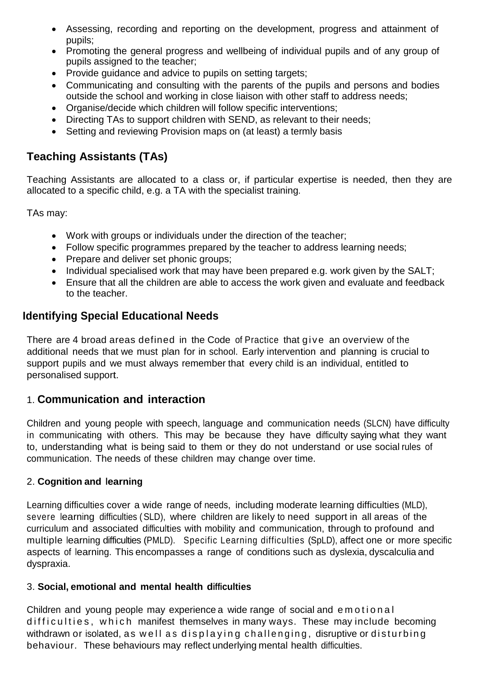- Assessing, recording and reporting on the development, progress and attainment of pupils;
- Promoting the general progress and wellbeing of individual pupils and of any group of pupils assigned to the teacher;
- Provide guidance and advice to pupils on setting targets;
- Communicating and consulting with the parents of the pupils and persons and bodies outside the school and working in close liaison with other staff to address needs;
- Organise/decide which children will follow specific interventions;
- Directing TAs to support children with SEND, as relevant to their needs;
- Setting and reviewing Provision maps on (at least) a termly basis

## **Teaching Assistants (TAs)**

Teaching Assistants are allocated to a class or, if particular expertise is needed, then they are allocated to a specific child, e.g. a TA with the specialist training.

TAs may:

- Work with groups or individuals under the direction of the teacher;
- Follow specific programmes prepared by the teacher to address learning needs;
- Prepare and deliver set phonic groups;
- Individual specialised work that may have been prepared e.g. work given by the SALT;
- Ensure that all the children are able to access the work given and evaluate and feedback to the teacher.

## **Identifying Special Educational Needs**

There are 4 broad areas defined in the Code of Practice that give an overview of the additional needs that we must plan for in school. Early intervention and planning is crucial to support pupils and we must always remember that every child is an individual, entitled to personalised support.

## 1. **Communication and interaction**

Children and young people with speech, language and communication needs (SLCN) have difficulty in communicating with others. This may be because they have difficulty saying what they want to, understanding what is being said to them or they do not understand or use social rules of communication. The needs of these children may change over time.

#### 2. **Cognition and learning**

Learning difficulties cover a wide range of needs, including moderate learning difficulties (MLD), severe learning difficulties (SLD), where children are likely to need support in all areas of the curriculum and associated difficulties with mobility and communication, through to profound and multiple learning difficulties (PMLD). Specific Learning difficulties (SpLD), affect one or more specific aspects of learning. This encompasses a range of conditions such as dyslexia, dyscalculia and dyspraxia.

#### 3. **Social, emotional and mental health difficulties**

Children and young people may experience a wide range of social and emotional difficulties, which manifest themselves in many ways. These may include becoming withdrawn or isolated, as well as displaying challenging, disruptive or disturbing behaviour. These behaviours may reflect underlying mental health difficulties.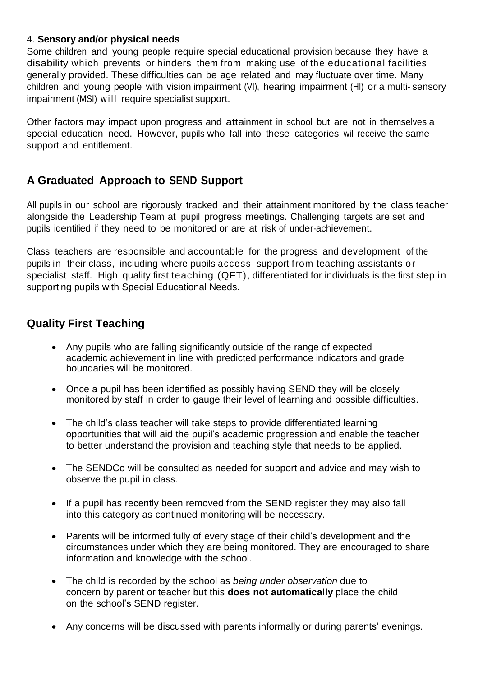#### 4. **Sensory and/or physical needs**

Some children and young people require special educational provision because they have a disability which prevents or hinders them from making use of the educational facilities generally provided. These difficulties can be age related and may fluctuate over time. Many children and young people with vision impairment (VI), hearing impairment (HI) or a multi- sensory impairment (MSI) will require specialist support.

Other factors may impact upon progress and attainment in school but are not in themselves a special education need. However, pupils who fall into these categories will receive the same support and entitlement.

## **A Graduated Approach to SEND Support**

All pupils in our school are rigorously tracked and their attainment monitored by the class teacher alongside the Leadership Team at pupil progress meetings. Challenging targets are set and pupils identified if they need to be monitored or are at risk of under-achievement.

Class teachers are responsible and accountable for the progress and development of the pupils in their class, including where pupils access support from teaching assistants or specialist staff. High quality first teaching (QFT), differentiated for individuals is the first step in supporting pupils with Special Educational Needs.

## **Quality First Teaching**

- Any pupils who are falling significantly outside of the range of expected academic achievement in line with predicted performance indicators and grade boundaries will be monitored.
- Once a pupil has been identified as possibly having SEND they will be closely monitored by staff in order to gauge their level of learning and possible difficulties.
- The child's class teacher will take steps to provide differentiated learning opportunities that will aid the pupil's academic progression and enable the teacher to better understand the provision and teaching style that needs to be applied.
- The SENDCo will be consulted as needed for support and advice and may wish to observe the pupil in class.
- If a pupil has recently been removed from the SEND register they may also fall into this category as continued monitoring will be necessary.
- Parents will be informed fully of every stage of their child's development and the circumstances under which they are being monitored. They are encouraged to share information and knowledge with the school.
- The child is recorded by the school as *being under observation* due to concern by parent or teacher but this **does not automatically** place the child on the school's SEND register.
- Any concerns will be discussed with parents informally or during parents' evenings.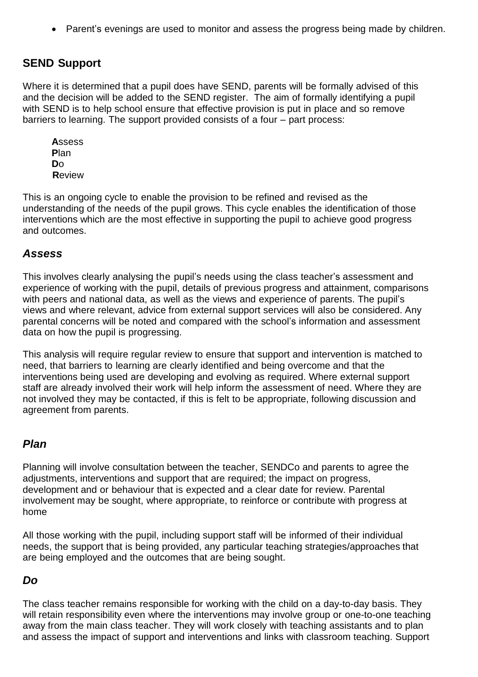• Parent's evenings are used to monitor and assess the progress being made by children.

## **SEND Support**

Where it is determined that a pupil does have SEND, parents will be formally advised of this and the decision will be added to the SEND register. The aim of formally identifying a pupil with SEND is to help school ensure that effective provision is put in place and so remove barriers to learning. The support provided consists of a four – part process:

**A**ssess **P**lan **D**o **R**eview

This is an ongoing cycle to enable the provision to be refined and revised as the understanding of the needs of the pupil grows. This cycle enables the identification of those interventions which are the most effective in supporting the pupil to achieve good progress and outcomes.

#### *Assess*

This involves clearly analysing the pupil's needs using the class teacher's assessment and experience of working with the pupil, details of previous progress and attainment, comparisons with peers and national data, as well as the views and experience of parents. The pupil's views and where relevant, advice from external support services will also be considered. Any parental concerns will be noted and compared with the school's information and assessment data on how the pupil is progressing.

This analysis will require regular review to ensure that support and intervention is matched to need, that barriers to learning are clearly identified and being overcome and that the interventions being used are developing and evolving as required. Where external support staff are already involved their work will help inform the assessment of need. Where they are not involved they may be contacted, if this is felt to be appropriate, following discussion and agreement from parents.

#### *Plan*

Planning will involve consultation between the teacher, SENDCo and parents to agree the adjustments, interventions and support that are required; the impact on progress, development and or behaviour that is expected and a clear date for review. Parental involvement may be sought, where appropriate, to reinforce or contribute with progress at home

All those working with the pupil, including support staff will be informed of their individual needs, the support that is being provided, any particular teaching strategies/approaches that are being employed and the outcomes that are being sought.

#### *Do*

The class teacher remains responsible for working with the child on a day-to-day basis. They will retain responsibility even where the interventions may involve group or one-to-one teaching away from the main class teacher. They will work closely with teaching assistants and to plan and assess the impact of support and interventions and links with classroom teaching. Support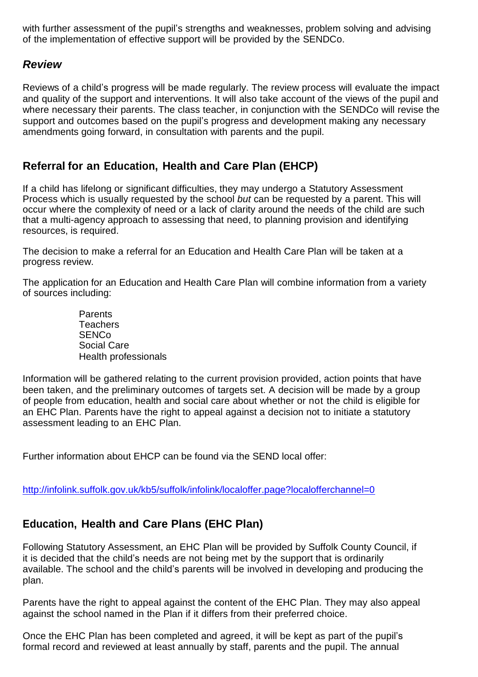with further assessment of the pupil's strengths and weaknesses, problem solving and advising of the implementation of effective support will be provided by the SENDCo.

#### *Review*

Reviews of a child's progress will be made regularly. The review process will evaluate the impact and quality of the support and interventions. It will also take account of the views of the pupil and where necessary their parents. The class teacher, in conjunction with the SENDCo will revise the support and outcomes based on the pupil's progress and development making any necessary amendments going forward, in consultation with parents and the pupil.

## **Referral for an Education, Health and Care Plan (EHCP)**

If a child has lifelong or significant difficulties, they may undergo a Statutory Assessment Process which is usually requested by the school *but* can be requested by a parent. This will occur where the complexity of need or a lack of clarity around the needs of the child are such that a multi-agency approach to assessing that need, to planning provision and identifying resources, is required.

The decision to make a referral for an Education and Health Care Plan will be taken at a progress review.

The application for an Education and Health Care Plan will combine information from a variety of sources including:

> Parents Teachers **SENCo** Social Care Health professionals

Information will be gathered relating to the current provision provided, action points that have been taken, and the preliminary outcomes of targets set. A decision will be made by a group of people from education, health and social care about whether or not the child is eligible for an EHC Plan. Parents have the right to appeal against a decision not to initiate a statutory assessment leading to an EHC Plan.

Further information about EHCP can be found via the SEND local offer:

<http://infolink.suffolk.gov.uk/kb5/suffolk/infolink/localoffer.page?localofferchannel=0>

## **Education, Health and Care Plans (EHC Plan)**

Following Statutory Assessment, an EHC Plan will be provided by Suffolk County Council, if it is decided that the child's needs are not being met by the support that is ordinarily available. The school and the child's parents will be involved in developing and producing the plan.

Parents have the right to appeal against the content of the EHC Plan. They may also appeal against the school named in the Plan if it differs from their preferred choice.

Once the EHC Plan has been completed and agreed, it will be kept as part of the pupil's formal record and reviewed at least annually by staff, parents and the pupil. The annual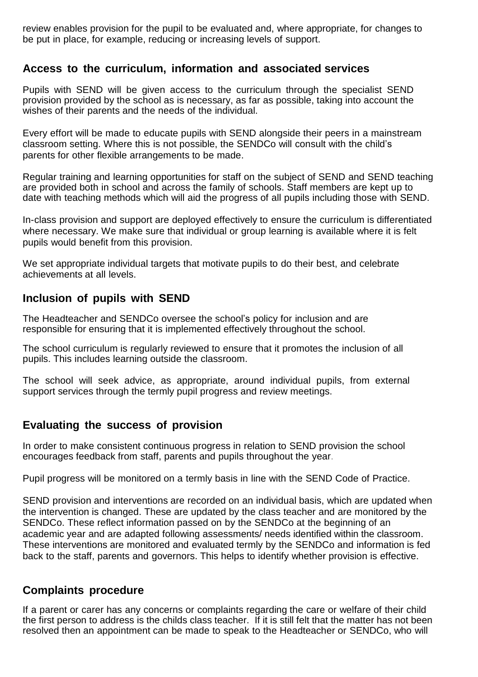review enables provision for the pupil to be evaluated and, where appropriate, for changes to be put in place, for example, reducing or increasing levels of support.

#### **Access to the curriculum, information and associated services**

Pupils with SEND will be given access to the curriculum through the specialist SEND provision provided by the school as is necessary, as far as possible, taking into account the wishes of their parents and the needs of the individual.

Every effort will be made to educate pupils with SEND alongside their peers in a mainstream classroom setting. Where this is not possible, the SENDCo will consult with the child's parents for other flexible arrangements to be made.

Regular training and learning opportunities for staff on the subject of SEND and SEND teaching are provided both in school and across the family of schools. Staff members are kept up to date with teaching methods which will aid the progress of all pupils including those with SEND.

In-class provision and support are deployed effectively to ensure the curriculum is differentiated where necessary. We make sure that individual or group learning is available where it is felt pupils would benefit from this provision.

We set appropriate individual targets that motivate pupils to do their best, and celebrate achievements at all levels.

#### **Inclusion of pupils with SEND**

The Headteacher and SENDCo oversee the school's policy for inclusion and are responsible for ensuring that it is implemented effectively throughout the school.

The school curriculum is regularly reviewed to ensure that it promotes the inclusion of all pupils. This includes learning outside the classroom.

The school will seek advice, as appropriate, around individual pupils, from external support services through the termly pupil progress and review meetings.

#### **Evaluating the success of provision**

In order to make consistent continuous progress in relation to SEND provision the school encourages feedback from staff, parents and pupils throughout the year.

Pupil progress will be monitored on a termly basis in line with the SEND Code of Practice.

SEND provision and interventions are recorded on an individual basis, which are updated when the intervention is changed. These are updated by the class teacher and are monitored by the SENDCo. These reflect information passed on by the SENDCo at the beginning of an academic year and are adapted following assessments/ needs identified within the classroom. These interventions are monitored and evaluated termly by the SENDCo and information is fed back to the staff, parents and governors. This helps to identify whether provision is effective.

#### **Complaints procedure**

If a parent or carer has any concerns or complaints regarding the care or welfare of their child the first person to address is the childs class teacher. If it is still felt that the matter has not been resolved then an appointment can be made to speak to the Headteacher or SENDCo, who will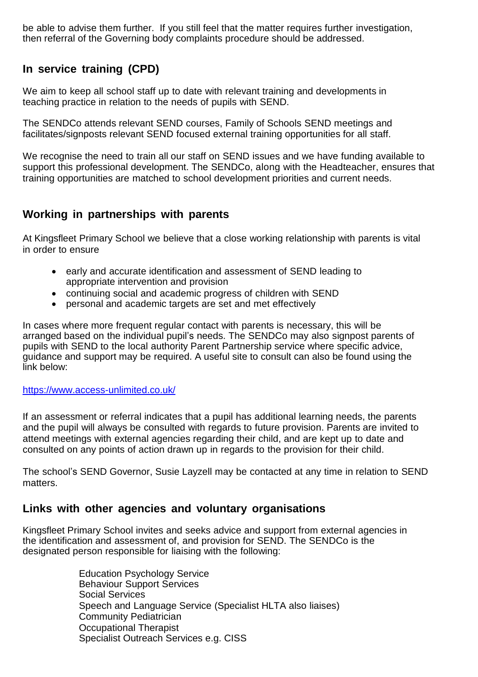be able to advise them further. If you still feel that the matter requires further investigation, then referral of the Governing body complaints procedure should be addressed.

## **In service training (CPD)**

We aim to keep all school staff up to date with relevant training and developments in teaching practice in relation to the needs of pupils with SEND.

The SENDCo attends relevant SEND courses, Family of Schools SEND meetings and facilitates/signposts relevant SEND focused external training opportunities for all staff.

We recognise the need to train all our staff on SEND issues and we have funding available to support this professional development. The SENDCo, along with the Headteacher, ensures that training opportunities are matched to school development priorities and current needs.

## **Working in partnerships with parents**

At Kingsfleet Primary School we believe that a close working relationship with parents is vital in order to ensure

- early and accurate identification and assessment of SEND leading to appropriate intervention and provision
- continuing social and academic progress of children with SEND
- personal and academic targets are set and met effectively

In cases where more frequent regular contact with parents is necessary, this will be arranged based on the individual pupil's needs. The SENDCo may also signpost parents of pupils with SEND to the local authority Parent Partnership service where specific advice, guidance and support may be required. A useful site to consult can also be found using the link below:

#### <https://www.access-unlimited.co.uk/>

If an assessment or referral indicates that a pupil has additional learning needs, the parents and the pupil will always be consulted with regards to future provision. Parents are invited to attend meetings with external agencies regarding their child, and are kept up to date and consulted on any points of action drawn up in regards to the provision for their child.

The school's SEND Governor, Susie Layzell may be contacted at any time in relation to SEND matters.

#### **Links with other agencies and voluntary organisations**

Kingsfleet Primary School invites and seeks advice and support from external agencies in the identification and assessment of, and provision for SEND. The SENDCo is the designated person responsible for liaising with the following:

> Education Psychology Service Behaviour Support Services Social Services Speech and Language Service (Specialist HLTA also liaises) Community Pediatrician Occupational Therapist Specialist Outreach Services e.g. CISS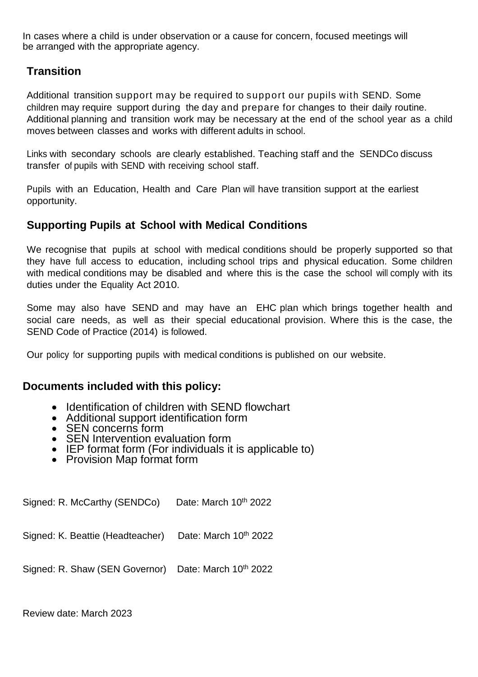In cases where a child is under observation or a cause for concern, focused meetings will be arranged with the appropriate agency.

## **Transition**

Additional transition support may be required to support our pupils with SEND. Some children may require support during the day and prepare for changes to their daily routine. Additional planning and transition work may be necessary at the end of the school year as a child moves between classes and works with different adults in school.

Links with secondary schools are clearly established. Teaching staff and the SENDCo discuss transfer of pupils with SEND with receiving school staff.

Pupils with an Education, Health and Care Plan will have transition support at the earliest opportunity.

#### **Supporting Pupils at School with Medical Conditions**

We recognise that pupils at school with medical conditions should be properly supported so that they have full access to education, including school trips and physical education. Some children with medical conditions may be disabled and where this is the case the school will comply with its duties under the Equality Act 2010.

Some may also have SEND and may have an EHC plan which brings together health and social care needs, as well as their special educational provision. Where this is the case, the SEND Code of Practice (2014) is followed.

Our policy for supporting pupils with medical conditions is published on our website.

#### **Documents included with this policy:**

- Identification of children with SEND flowchart
- Additional support identification form
- SEN concerns form
- SEN Intervention evaluation form
- IEP format form (For individuals it is applicable to)
- Provision Map format form

Signed: R. McCarthy (SENDCo) Date: March  $10<sup>th</sup>$  2022

Signed: K. Beattie (Headteacher) Date: March  $10^{th}$  2022

Signed: R. Shaw (SEN Governor) Date: March 10<sup>th</sup> 2022

Review date: March 2023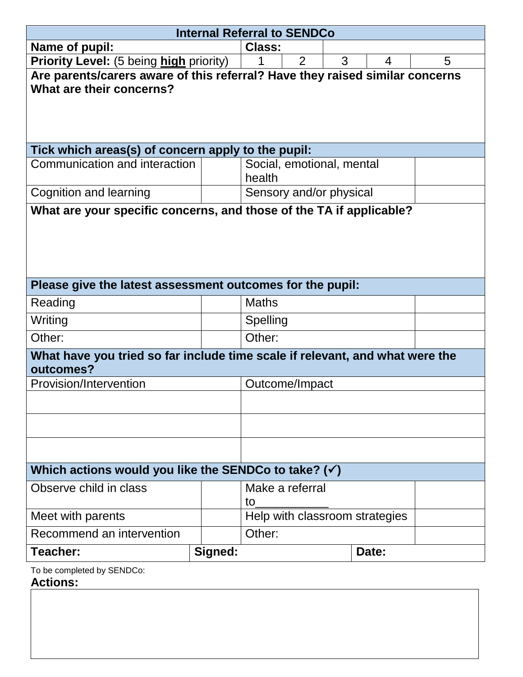| <b>Internal Referral to SENDCo</b>                                                                       |                |                                     |   |       |  |  |  |  |
|----------------------------------------------------------------------------------------------------------|----------------|-------------------------------------|---|-------|--|--|--|--|
| Name of pupil:                                                                                           | <b>Class:</b>  |                                     |   |       |  |  |  |  |
| <b>Priority Level:</b> (5 being high priority)                                                           | $\overline{2}$ | 3                                   | 4 | 5     |  |  |  |  |
| Are parents/carers aware of this referral? Have they raised similar concerns<br>What are their concerns? |                |                                     |   |       |  |  |  |  |
| Tick which areas(s) of concern apply to the pupil:                                                       |                |                                     |   |       |  |  |  |  |
| Communication and interaction                                                                            |                | Social, emotional, mental<br>health |   |       |  |  |  |  |
| <b>Cognition and learning</b>                                                                            |                | Sensory and/or physical             |   |       |  |  |  |  |
| What are your specific concerns, and those of the TA if applicable?                                      |                |                                     |   |       |  |  |  |  |
| Please give the latest assessment outcomes for the pupil:                                                |                |                                     |   |       |  |  |  |  |
| Reading                                                                                                  |                | <b>Maths</b>                        |   |       |  |  |  |  |
| Writing                                                                                                  |                | Spelling                            |   |       |  |  |  |  |
| Other:                                                                                                   |                | Other:                              |   |       |  |  |  |  |
| What have you tried so far include time scale if relevant, and what were the<br>outcomes?                |                |                                     |   |       |  |  |  |  |
| Provision/Intervention                                                                                   |                | Outcome/Impact                      |   |       |  |  |  |  |
|                                                                                                          |                |                                     |   |       |  |  |  |  |
| Which actions would you like the SENDCo to take? $(\checkmark)$                                          |                |                                     |   |       |  |  |  |  |
| Observe child in class                                                                                   |                | Make a referral<br>to               |   |       |  |  |  |  |
| Meet with parents                                                                                        |                | Help with classroom strategies      |   |       |  |  |  |  |
| Recommend an intervention                                                                                |                | Other:                              |   |       |  |  |  |  |
| Teacher:                                                                                                 | Signed:        |                                     |   | Date: |  |  |  |  |
| To be completed by SENDCo:                                                                               |                |                                     |   |       |  |  |  |  |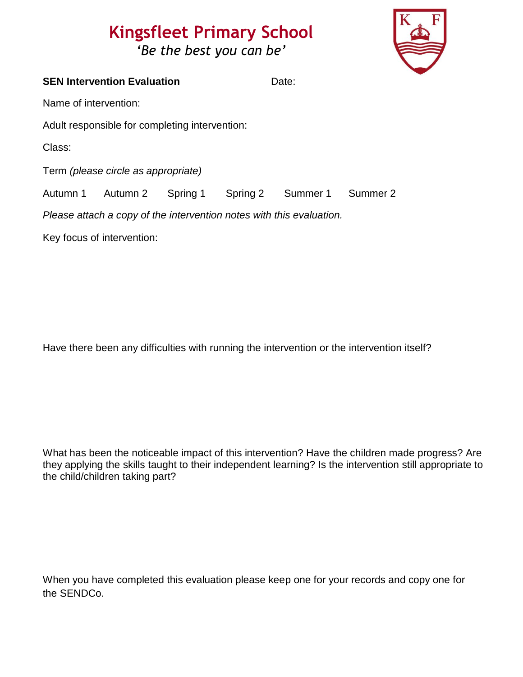## **Kingsfleet Primary School** *'Be the best you can be'*



|                                                                      | <b>SEN Intervention Evaluation</b>             |  | Date: |                                     |  |  |
|----------------------------------------------------------------------|------------------------------------------------|--|-------|-------------------------------------|--|--|
| Name of intervention:                                                |                                                |  |       |                                     |  |  |
|                                                                      | Adult responsible for completing intervention: |  |       |                                     |  |  |
| Class:                                                               |                                                |  |       |                                     |  |  |
|                                                                      | Term (please circle as appropriate)            |  |       |                                     |  |  |
|                                                                      | Autumn 1 Autumn 2                              |  |       | Spring 1 Spring 2 Summer 1 Summer 2 |  |  |
| Please attach a copy of the intervention notes with this evaluation. |                                                |  |       |                                     |  |  |
|                                                                      | Key focus of intervention:                     |  |       |                                     |  |  |
|                                                                      |                                                |  |       |                                     |  |  |

Have there been any difficulties with running the intervention or the intervention itself?

What has been the noticeable impact of this intervention? Have the children made progress? Are they applying the skills taught to their independent learning? Is the intervention still appropriate to the child/children taking part?

When you have completed this evaluation please keep one for your records and copy one for the SENDCo.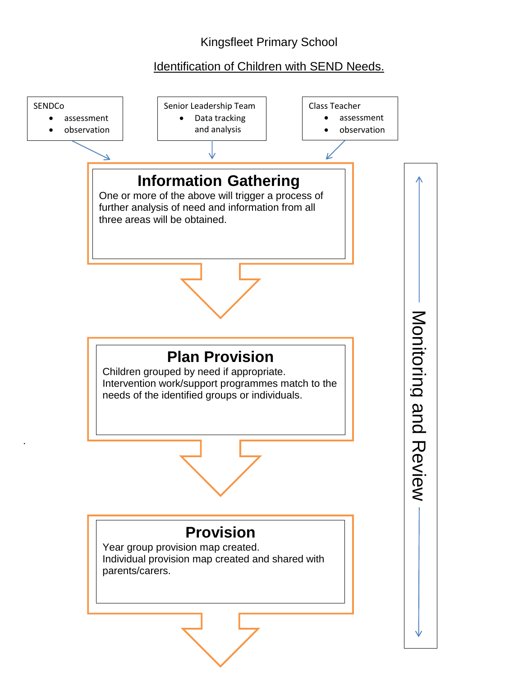## Kingsfleet Primary School

## Identification of Children with SEND Needs.